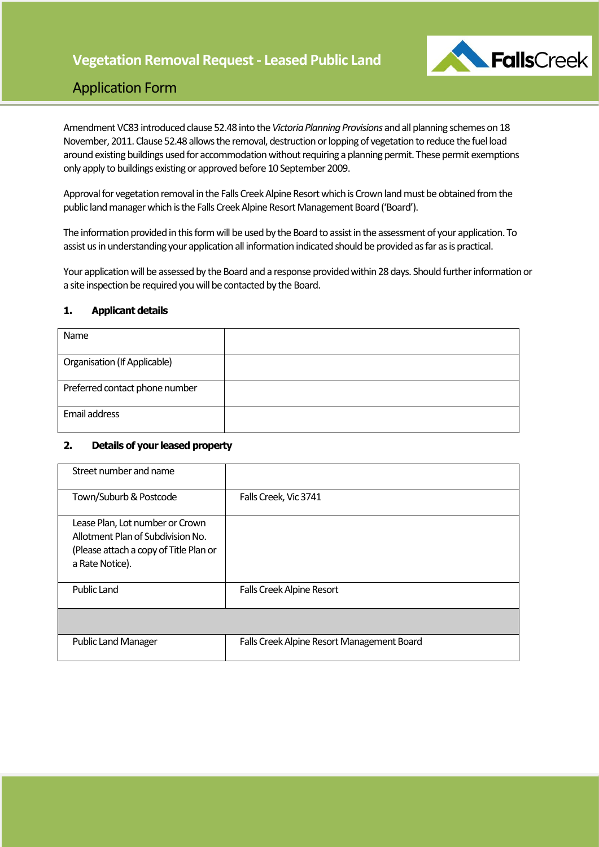**Vegetation Removal Request - Leased Public Land**



## Application Form

Amendment VC83 introduced clause 52.48 into the *Victoria Planning Provisions* and all planning schemes on 18 November, 2011. Clause 52.48 allows the removal, destruction or lopping of vegetation to reduce the fuel load around existing buildings used for accommodation without requiring a planning permit. These permit exemptions only apply to buildings existing or approved before 10 September 2009.

Approval for vegetation removal in the Falls CreekAlpine Resort which is Crown land must be obtained from the public land manager which is the Falls Creek Alpine Resort Management Board ('Board').

The information provided in this form will be used by the Board to assist in the assessment of your application. To assist us in understanding your application all information indicated should be provided as far as is practical.

Your application will be assessed by the Board and a response provided within 28 days. Should further information or a site inspection be required you will be contacted by the Board.

### **1. Applicant details**

| Name                                |  |
|-------------------------------------|--|
| <b>Organisation (If Applicable)</b> |  |
|                                     |  |
| Preferred contact phone number      |  |
|                                     |  |
| Email address                       |  |
|                                     |  |

### **2. Details of your leased property**

| Street number and name                                                                                                            |                                            |
|-----------------------------------------------------------------------------------------------------------------------------------|--------------------------------------------|
| Town/Suburb & Postcode                                                                                                            | Falls Creek, Vic 3741                      |
| Lease Plan, Lot number or Crown<br>Allotment Plan of Subdivision No.<br>(Please attach a copy of Title Plan or<br>a Rate Notice). |                                            |
| <b>Public Land</b>                                                                                                                | <b>Falls Creek Alpine Resort</b>           |
|                                                                                                                                   |                                            |
| <b>Public Land Manager</b>                                                                                                        | Falls Creek Alpine Resort Management Board |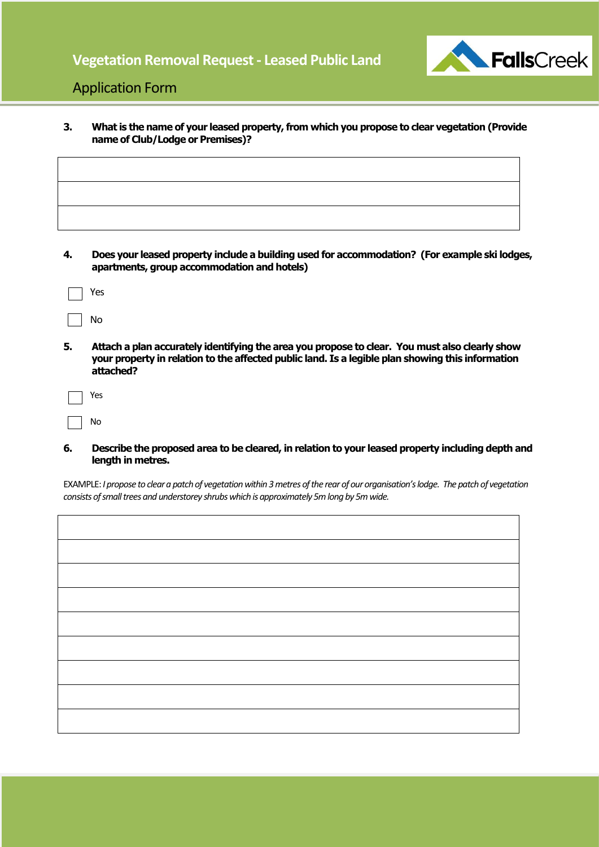## **Vegetation Removal Request - Leased Public Land**



## Application Form

**3. What is the name of your leased property, from which you propose to clear vegetation (Provide name of Club/Lodge or Premises)?**

| Does your leased property include a building used for accommodation? (For example ski lodges, |  |
|-----------------------------------------------------------------------------------------------|--|
| apartments, group accommodation and hotels)                                                   |  |

| Yes |
|-----|
|     |

- No
- **5. Attach a plan accurately identifying the area you propose to clear. You must also clearly show your property in relation to the affected public land. Is a legible plan showing this information attached?**

| Yes |
|-----|
| No  |

### **6. Describe the proposed area to be cleared, in relation to your leased property including depth and length in metres.**

EXAMPLE: *I propose to clear a patch of vegetation within 3 metres of the rear of our organisation's lodge. The patch of vegetation consists of small trees and understorey shrubs which is approximately 5m long by 5m wide.*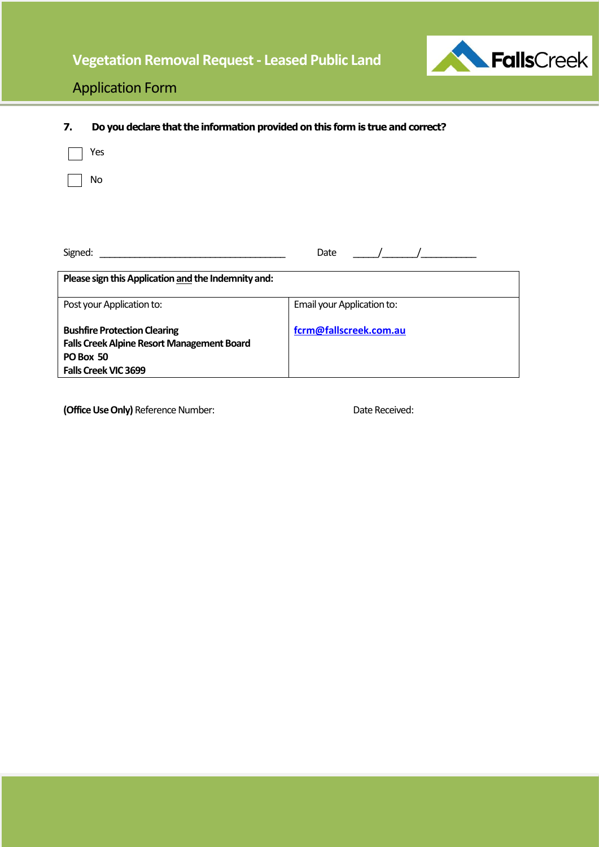

## Application Form

| 7.      | Do you declare that the information provided on this form is true and correct? |                            |  |
|---------|--------------------------------------------------------------------------------|----------------------------|--|
|         | Yes                                                                            |                            |  |
|         | No.                                                                            |                            |  |
|         |                                                                                |                            |  |
|         |                                                                                |                            |  |
| Signed: |                                                                                | Date                       |  |
|         | Please sign this Application and the Indemnity and:                            |                            |  |
|         | Post your Application to:                                                      | Email your Application to: |  |
|         | <b>Bushfire Protection Clearing</b>                                            | fcrm@fallscreek.com.au     |  |

**Bushfire Protection Clearing Falls CreekAlpine Resort Management Board PO Box 50 Falls Creek VIC 3699** 

**(Office Use Only)** Reference Number: Date Received: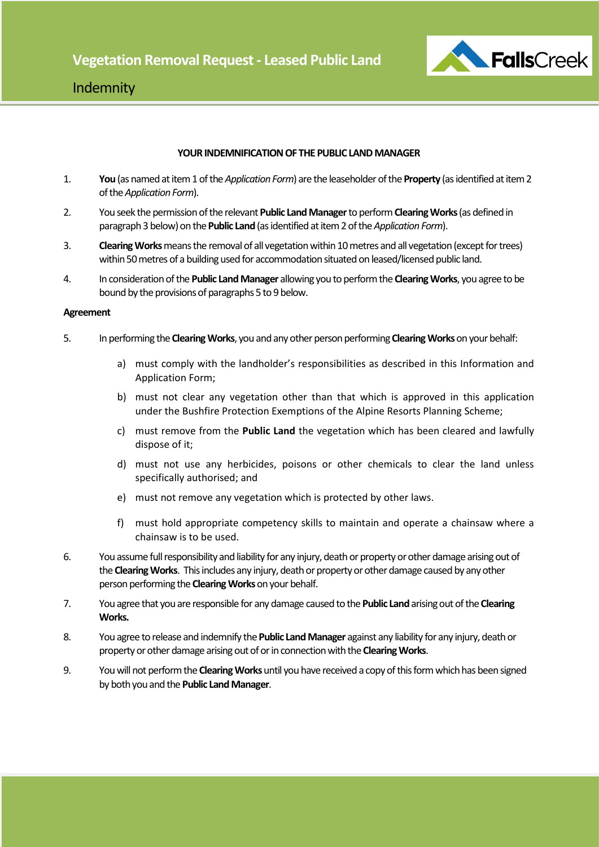

## Indemnity

### **YOUR INDEMNIFICATION OF THE PUBLIC LAND MANAGER**

- 1. **You** (as named at item 1 of the *Application Form*) are the leaseholderof the **Property** (as identified at item 2 of the *Application Form*).
- 2. You seek the permission of the relevant **Public Land Manager**to perform **Clearing Works** (as defined in paragraph 3 below) on the **Public Land** (as identified at item 2 of the *Application Form*).
- 3. **Clearing Works** means the removal of all vegetation within 10 metres and all vegetation(except for trees) within 50 metres of a building used for accommodation situated on leased/licensed public land.
- 4. In consideration of the **Public Land Manager** allowing you to perform the **Clearing Works**, you agree to be bound by the provisions of paragraphs 5 to 9 below.

### **Agreement**

- 5. In performing the **Clearing Works**, you and any other person performing **Clearing Works**on your behalf:
	- a) must comply with the landholder's responsibilities as described in this Information and Application Form;
	- b) must not clear any vegetation other than that which is approved in this application under the Bushfire Protection Exemptions of the Alpine Resorts Planning Scheme;
	- c) must remove from the **Public Land** the vegetation which has been cleared and lawfully dispose of it;
	- d) must not use any herbicides, poisons or other chemicals to clear the land unless specifically authorised; and
	- e) must not remove any vegetation which is protected by other laws.
	- f) must hold appropriate competency skills to maintain and operate a chainsaw where a chainsaw is to be used.
- 6. You assume full responsibility and liability for any injury, death or property or other damage arising out of the **Clearing Works**. This includes any injury, death or property or other damage caused by any other person performing the **Clearing Works**on your behalf.
- 7. You agree that you are responsible for any damage caused to the **Public Land**arising out of the **Clearing Works.**
- 8. You agree to release and indemnify the **Public Land Manager** against any liability for any injury, death or property or other damage arising out of or in connection with the **Clearing Works**.
- 9. You will not perform the **Clearing Works** until you have received a copy of this form which has been signed by both you and the **Public Land Manager**.